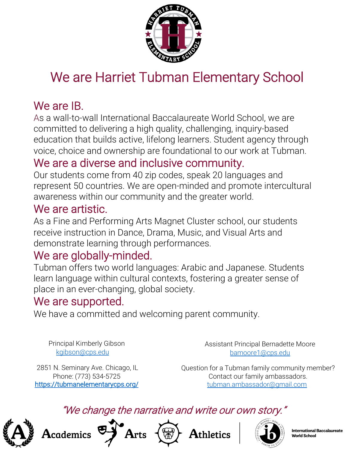

# We are Harriet Tubman Elementary School

## We are IB.

As a wall-to-wall International Baccalaureate World School, we are committed to delivering a high quality, challenging, inquiry-based education that builds active, lifelong learners. Student agency through voice, choice and ownership are foundational to our work at Tubman.

## We are a diverse and inclusive community.

Our students come from 40 zip codes, speak 20 languages and represent 50 countries. We are open-minded and promote intercultural awareness within our community and the greater world.

#### We are artistic.

As a Fine and Performing Arts Magnet Cluster school, our students receive instruction in Dance, Drama, Music, and Visual Arts and demonstrate learning through performances.

#### We are globally-minded.

Tubman offers two world languages: Arabic and Japanese. Students learn language within cultural contexts, fostering a greater sense of place in an ever-changing, global society.

### We are supported.

We have a committed and welcoming parent community.

Principal Kimberly Gibson [kgibson@cps.edu](mailto:kgibson@cps.edu)

Assistant Principal Bernadette Moore [bamoore1@cps.edu](mailto:bamoore1@cps.edu)

2851 N. Seminary Ave. Chicago, IL Phone: (773) 534-5725 <https://tubmanelementarycps.org/>

 ${\bf A}$ cademics

Question for a Tubman family community member? Contact our family ambassadors. [tubman.ambassador@gmail.com](mailto:tubman.ambassador@gmail.com)

#### "We change the narrative and write our own story."